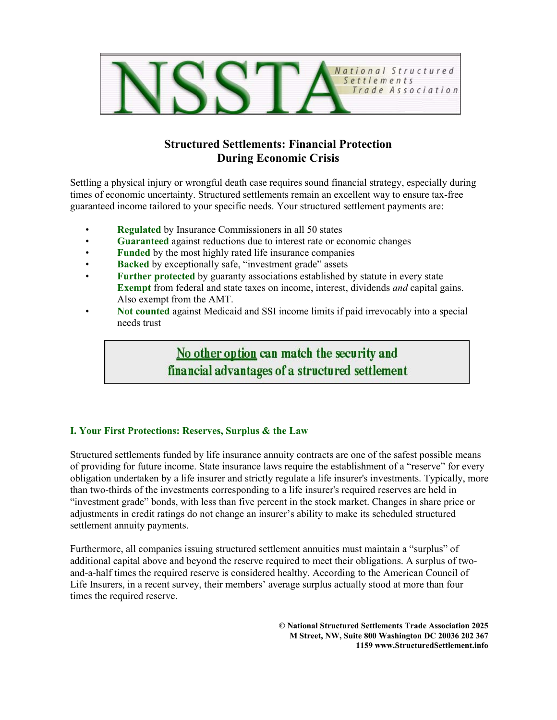

# **Structured Settlements: Financial Protection During Economic Crisis**

Settling a physical injury or wrongful death case requires sound financial strategy, especially during times of economic uncertainty. Structured settlements remain an excellent way to ensure tax-free guaranteed income tailored to your specific needs. Your structured settlement payments are:

- **Regulated** by Insurance Commissioners in all 50 states
- **Guaranteed** against reductions due to interest rate or economic changes
- **Funded** by the most highly rated life insurance companies
- **Backed** by exceptionally safe, "investment grade" assets
- **Further protected** by guaranty associations established by statute in every state **Exempt** from federal and state taxes on income, interest, dividends *and* capital gains. Also exempt from the AMT.
- **Not counted** against Medicaid and SSI income limits if paid irrevocably into a special needs trust

No other option can match the security and financial advantages of a structured settlement

## **I. Your First Protections: Reserves, Surplus & the Law**

Structured settlements funded by life insurance annuity contracts are one of the safest possible means of providing for future income. State insurance laws require the establishment of a "reserve" for every obligation undertaken by a life insurer and strictly regulate a life insurer's investments. Typically, more than two-thirds of the investments corresponding to a life insurer's required reserves are held in "investment grade" bonds, with less than five percent in the stock market. Changes in share price or adjustments in credit ratings do not change an insurer's ability to make its scheduled structured settlement annuity payments.

Furthermore, all companies issuing structured settlement annuities must maintain a "surplus" of additional capital above and beyond the reserve required to meet their obligations. A surplus of twoand-a-half times the required reserve is considered healthy. According to the American Council of Life Insurers, in a recent survey, their members' average surplus actually stood at more than four times the required reserve.

> **© National Structured Settlements Trade Association 2025 M Street, NW, Suite 800 Washington DC 20036 202 367 1159 www.StructuredSettlement.info**